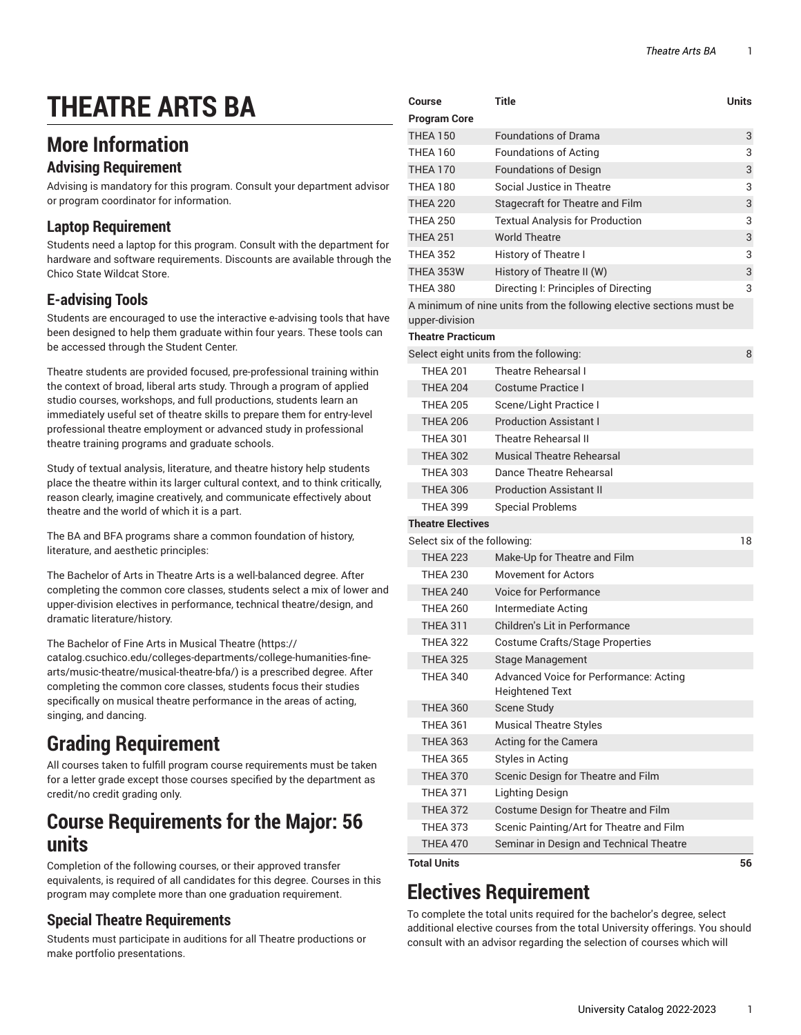# **THEATRE ARTS BA**

### **More Information**

#### **Advising Requirement**

Advising is mandatory for this program. Consult your department advisor or program coordinator for information.

#### **Laptop Requirement**

Students need a laptop for this program. Consult with the department for hardware and software requirements. Discounts are available through the Chico State Wildcat Store.

#### **E-advising Tools**

Students are encouraged to use the interactive e-advising tools that have been designed to help them graduate within four years. These tools can be accessed through the Student Center.

Theatre students are provided focused, pre-professional training within the context of broad, liberal arts study. Through a program of applied studio courses, workshops, and full productions, students learn an immediately useful set of theatre skills to prepare them for entry-level professional theatre employment or advanced study in professional theatre training programs and graduate schools.

Study of textual analysis, literature, and theatre history help students place the theatre within its larger cultural context, and to think critically, reason clearly, imagine creatively, and communicate effectively about theatre and the world of which it is a part.

The BA and BFA programs share a common foundation of history, literature, and aesthetic principles:

The Bachelor of Arts in Theatre Arts is a well-balanced degree. After completing the common core classes, students select a mix of lower and upper-division electives in performance, technical theatre/design, and dramatic literature/history.

The [Bachelor](https://catalog.csuchico.edu/colleges-departments/college-humanities-fine-arts/music-theatre/musical-theatre-bfa/) of Fine Arts in Musical Theatre ([https://](https://catalog.csuchico.edu/colleges-departments/college-humanities-fine-arts/music-theatre/musical-theatre-bfa/) [catalog.csuchico.edu/colleges-departments/college-humanities-fine-](https://catalog.csuchico.edu/colleges-departments/college-humanities-fine-arts/music-theatre/musical-theatre-bfa/)

[arts/music-theatre/musical-theatre-bfa/\)](https://catalog.csuchico.edu/colleges-departments/college-humanities-fine-arts/music-theatre/musical-theatre-bfa/) is a prescribed degree. After completing the common core classes, students focus their studies specifically on musical theatre performance in the areas of acting, singing, and dancing.

# **Grading Requirement**

All courses taken to fulfill program course requirements must be taken for a letter grade except those courses specified by the department as credit/no credit grading only.

### **Course Requirements for the Major: 56 units**

Completion of the following courses, or their approved transfer equivalents, is required of all candidates for this degree. Courses in this program may complete more than one graduation requirement.

#### **Special Theatre Requirements**

Students must participate in auditions for all Theatre productions or make portfolio presentations.

| Course                       | <b>Title</b>                                                         | <b>Units</b> |
|------------------------------|----------------------------------------------------------------------|--------------|
| <b>Program Core</b>          |                                                                      |              |
| <b>THEA 150</b>              | <b>Foundations of Drama</b>                                          | 3            |
| <b>THEA 160</b>              | <b>Foundations of Acting</b>                                         | 3            |
| <b>THEA 170</b>              | <b>Foundations of Design</b>                                         | 3            |
| <b>THEA 180</b>              | Social Justice in Theatre                                            | 3            |
| <b>THEA 220</b>              | Stagecraft for Theatre and Film                                      | 3            |
| <b>THEA 250</b>              | <b>Textual Analysis for Production</b>                               | 3            |
| <b>THEA 251</b>              | <b>World Theatre</b>                                                 | 3            |
| <b>THEA 352</b>              | History of Theatre I                                                 | 3            |
| <b>THEA 353W</b>             | History of Theatre II (W)                                            | 3            |
| <b>THEA 380</b>              | Directing I: Principles of Directing                                 | 3            |
| upper-division               | A minimum of nine units from the following elective sections must be |              |
| <b>Theatre Practicum</b>     |                                                                      |              |
|                              | Select eight units from the following:                               | 8            |
| <b>THFA 201</b>              | Theatre Rehearsal I                                                  |              |
| <b>THEA 204</b>              | Costume Practice I                                                   |              |
| <b>THEA 205</b>              | Scene/Light Practice I                                               |              |
| <b>THEA 206</b>              | <b>Production Assistant I</b>                                        |              |
| <b>THEA 301</b>              | <b>Theatre Rehearsal II</b>                                          |              |
| <b>THEA 302</b>              | <b>Musical Theatre Rehearsal</b>                                     |              |
| <b>THEA 303</b>              | Dance Theatre Rehearsal                                              |              |
| <b>THEA 306</b>              | <b>Production Assistant II</b>                                       |              |
| <b>THEA 399</b>              | <b>Special Problems</b>                                              |              |
| <b>Theatre Electives</b>     |                                                                      |              |
| Select six of the following: |                                                                      | 18           |
| <b>THEA 223</b>              | Make-Up for Theatre and Film                                         |              |
| <b>THEA 230</b>              | Movement for Actors                                                  |              |
| <b>THEA 240</b>              | Voice for Performance                                                |              |
| <b>THEA 260</b>              | Intermediate Acting                                                  |              |
| <b>THEA 311</b>              | Children's Lit in Performance                                        |              |
| <b>THEA 322</b>              | Costume Crafts/Stage Properties                                      |              |
| <b>THEA 325</b>              | <b>Stage Management</b>                                              |              |
| <b>THEA 340</b>              | Advanced Voice for Performance: Acting<br><b>Heightened Text</b>     |              |
| <b>THEA 360</b>              | Scene Study                                                          |              |
| <b>THEA 361</b>              | <b>Musical Theatre Styles</b>                                        |              |
| <b>THEA 363</b>              | Acting for the Camera                                                |              |
| <b>THEA 365</b>              | <b>Styles in Acting</b>                                              |              |
| <b>THEA 370</b>              | Scenic Design for Theatre and Film                                   |              |
| <b>THEA 371</b>              | Lighting Design                                                      |              |
| <b>THEA 372</b>              | Costume Design for Theatre and Film                                  |              |
| <b>THEA 373</b>              | Scenic Painting/Art for Theatre and Film                             |              |
| <b>THEA 470</b>              | Seminar in Design and Technical Theatre                              |              |
| <b>Total Units</b>           |                                                                      | 56           |

# **Electives Requirement**

To complete the total units required for the bachelor's degree, select additional elective courses from the total University offerings. You should consult with an advisor regarding the selection of courses which will